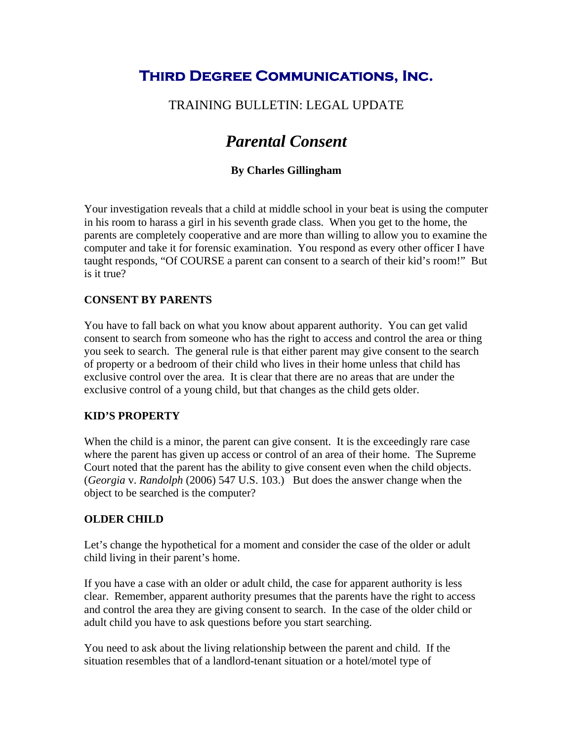## **Third Degree Communications, Inc.**

### TRAINING BULLETIN: LEGAL UPDATE

# *Parental Consent*

#### **By Charles Gillingham**

Your investigation reveals that a child at middle school in your beat is using the computer in his room to harass a girl in his seventh grade class. When you get to the home, the parents are completely cooperative and are more than willing to allow you to examine the computer and take it for forensic examination. You respond as every other officer I have taught responds, "Of COURSE a parent can consent to a search of their kid's room!" But is it true?

#### **CONSENT BY PARENTS**

You have to fall back on what you know about apparent authority. You can get valid consent to search from someone who has the right to access and control the area or thing you seek to search. The general rule is that either parent may give consent to the search of property or a bedroom of their child who lives in their home unless that child has exclusive control over the area. It is clear that there are no areas that are under the exclusive control of a young child, but that changes as the child gets older.

#### **KID'S PROPERTY**

When the child is a minor, the parent can give consent. It is the exceedingly rare case where the parent has given up access or control of an area of their home. The Supreme Court noted that the parent has the ability to give consent even when the child objects. (*Georgia* v. *Randolph* (2006) 547 U.S. 103.) But does the answer change when the object to be searched is the computer?

#### **OLDER CHILD**

Let's change the hypothetical for a moment and consider the case of the older or adult child living in their parent's home.

If you have a case with an older or adult child, the case for apparent authority is less clear. Remember, apparent authority presumes that the parents have the right to access and control the area they are giving consent to search. In the case of the older child or adult child you have to ask questions before you start searching.

You need to ask about the living relationship between the parent and child. If the situation resembles that of a landlord-tenant situation or a hotel/motel type of